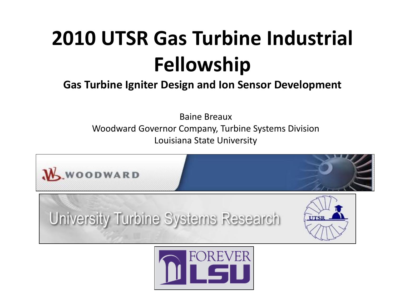#### **2010 UTSR Gas Turbine Industrial Fellowship**

#### **Gas Turbine Igniter Design and Ion Sensor Development**

Baine Breaux Woodward Governor Company, Turbine Systems Division Louisiana State University



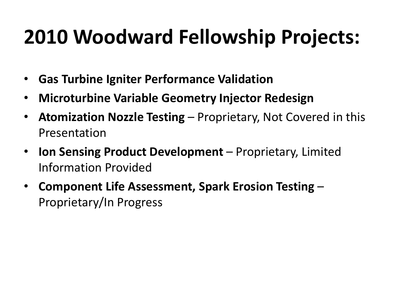#### **2010 Woodward Fellowship Projects:**

- **Gas Turbine Igniter Performance Validation**
- **Microturbine Variable Geometry Injector Redesign**
- **Atomization Nozzle Testing**  Proprietary, Not Covered in this Presentation
- **Ion Sensing Product Development**  Proprietary, Limited Information Provided
- **Component Life Assessment, Spark Erosion Testing**  Proprietary/In Progress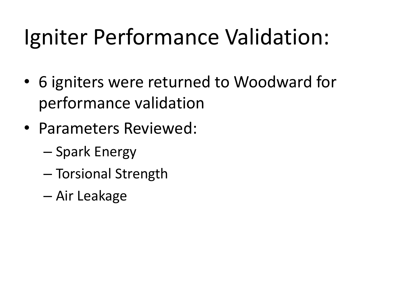#### Igniter Performance Validation:

- 6 igniters were returned to Woodward for performance validation
- Parameters Reviewed:
	- Spark Energy
	- Torsional Strength
	- Air Leakage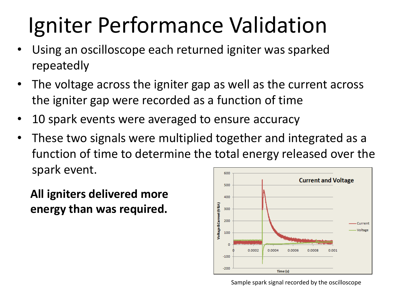### Igniter Performance Validation

- Using an oscilloscope each returned igniter was sparked repeatedly
- The voltage across the igniter gap as well as the current across the igniter gap were recorded as a function of time
- 10 spark events were averaged to ensure accuracy
- These two signals were multiplied together and integrated as a function of time to determine the total energy released over the spark event. 600

**All igniters delivered more energy than was required.**



Sample spark signal recorded by the oscilloscope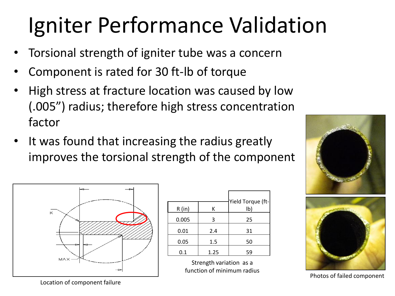#### Igniter Performance Validation

- Torsional strength of igniter tube was a concern
- Component is rated for 30 ft-lb of torque
- High stress at fracture location was caused by low (.005") radius; therefore high stress concentration factor
- It was found that increasing the radius greatly improves the torsional strength of the component



| R (in) | к    | Yield Torque (ft-<br>lb) |
|--------|------|--------------------------|
| 0.005  | 3    | 25                       |
| 0.01   | 2.4  | 31                       |
| 0.05   | 1.5  | 50                       |
| 0.1    | 1.25 | 59                       |

Strength variation as a function of minimum radius





Photos of failed component

Location of component failure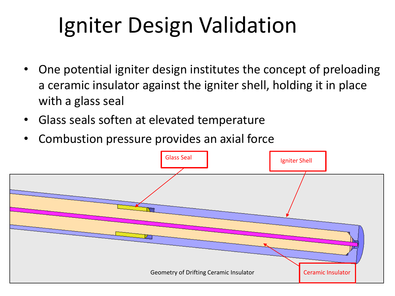# Igniter Design Validation

- One potential igniter design institutes the concept of preloading a ceramic insulator against the igniter shell, holding it in place with a glass seal
- Glass seals soften at elevated temperature
- Combustion pressure provides an axial force

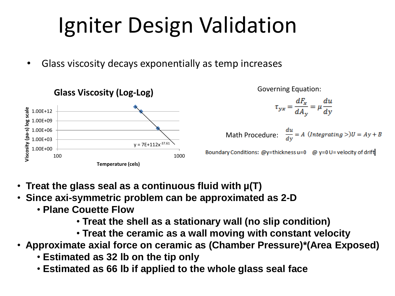# Igniter Design Validation

Glass viscosity decays exponentially as temp increases



Governing Equation:

$$
\tau_{yx} = \frac{dF_x}{dA_y} = \mu \frac{du}{dy}
$$

 $\frac{du}{dv} = A \ (Integrating >)U = Ay + B$ Math Procedure:

- • **Treat the glass seal as a continuous fluid with µ(T)**
- • **Since axi-symmetric problem can be approximated as 2-D**
	- **Plane Couette Flow** 
		- **Treat the shell as a stationary wall (no slip condition)**
		- **Treat the ceramic as a wall moving with constant velocity**
- • **Approximate axial force on ceramic as (Chamber Pressure)\*(Area Exposed)**
	- **Estimated as 32 lb on the tip only**
	- **Estimated as 66 lb if applied to the whole glass seal face**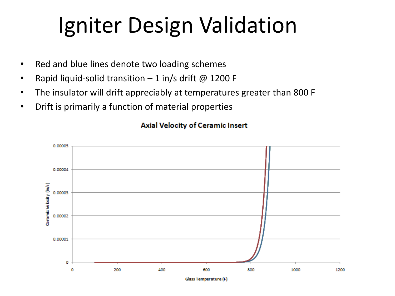#### Igniter Design Validation

- Red and blue lines denote two loading schemes
- Rapid liquid-solid transition  $-1$  in/s drift @ 1200 F
- The insulator will drift appreciably at temperatures greater than 800 F
- Drift is primarily a function of material properties



#### **Axial Velocity of Ceramic Insert**

Glass Temperature (F)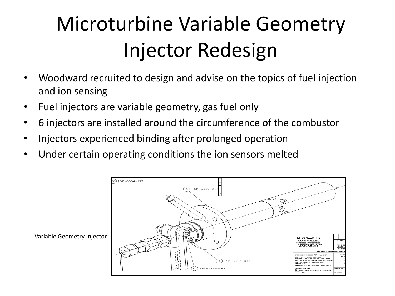#### Microturbine Variable Geometry Injector Redesign

- Woodward recruited to design and advise on the topics of fuel injection and ion sensing
- Fuel injectors are variable geometry, gas fuel only
- 6 injectors are installed around the circumference of the combustor
- Injectors experienced binding after prolonged operation
- Under certain operating conditions the ion sensors melted

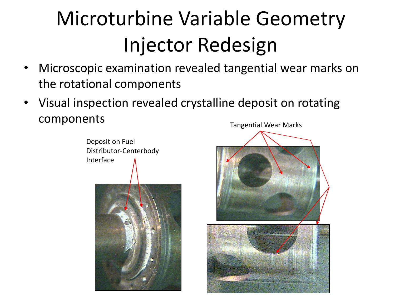#### Microturbine Variable Geometry Injector Redesign

- Microscopic examination revealed tangential wear marks on the rotational components
- Visual inspection revealed crystalline deposit on rotating components Tangential Wear Marks



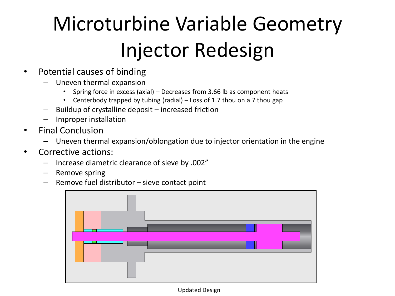#### Microturbine Variable Geometry Injector Redesign

- Potential causes of binding
	- Uneven thermal expansion
		- Spring force in excess (axial) Decreases from 3.66 lb as component heats
		- Centerbody trapped by tubing (radial) Loss of 1.7 thou on a 7 thou gap
	- Buildup of crystalline deposit increased friction
	- Improper installation
- Final Conclusion
	- Uneven thermal expansion/oblongation due to injector orientation in the engine
- Corrective actions:
	- Increase diametric clearance of sieve by .002"
	- Remove spring
	- Remove fuel distributor sieve contact point



Updated Design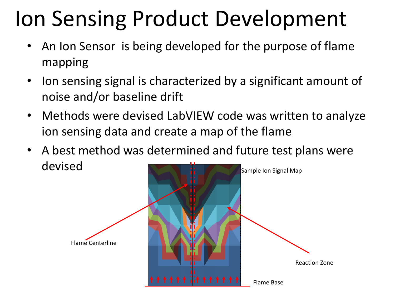#### Ion Sensing Product Development

- An Ion Sensor is being developed for the purpose of flame mapping
- Ion sensing signal is characterized by a significant amount of noise and/or baseline drift
- Methods were devised LabVIEW code was written to analyze ion sensing data and create a map of the flame
- A best method was determined and future test plans were devised Sample Ion Signal Map

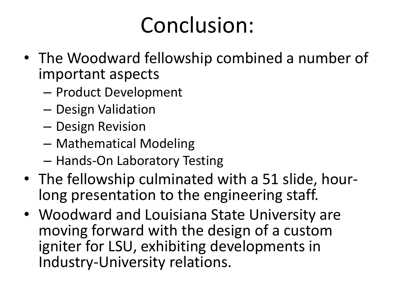#### Conclusion:

- The Woodward fellowship combined a number of important aspects
	- Product Development
	- Design Validation
	- Design Revision
	- Mathematical Modeling
	- Hands-On Laboratory Testing
- The fellowship culminated with a 51 slide, hourlong presentation to the engineering staff.
- Woodward and Louisiana State University are moving forward with the design of a custom igniter for LSU, exhibiting developments in Industry-University relations.